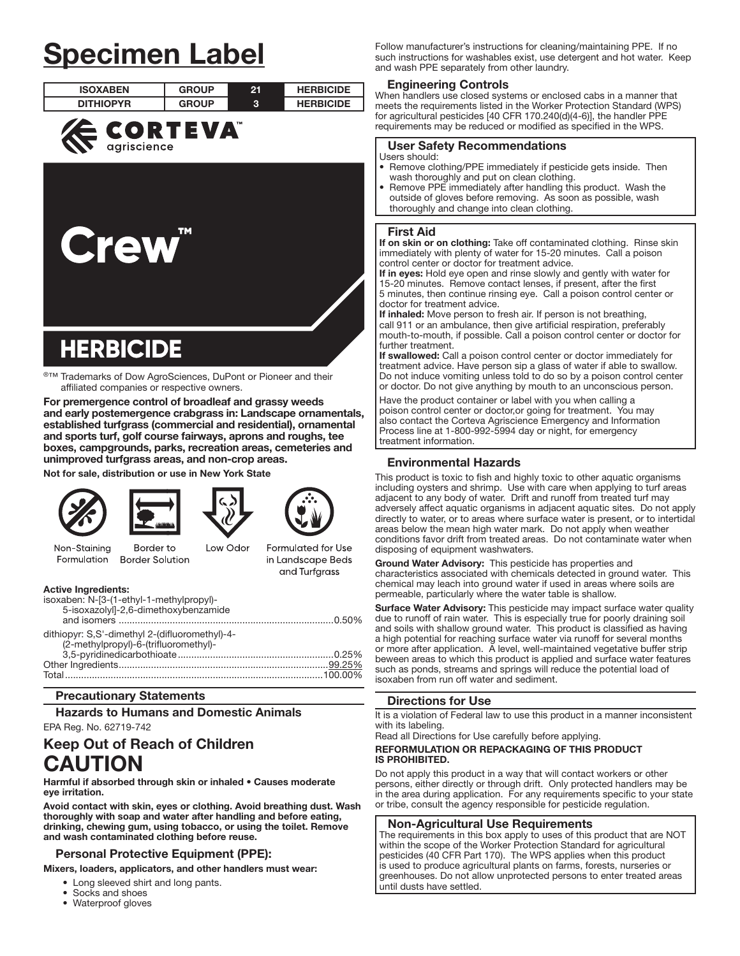# Specimen Label

| <b>ISOXABEN</b>  | <b>GROUP</b> | 21 | <b>HERBICIDE</b> |
|------------------|--------------|----|------------------|
| <b>DITHIOPYR</b> | <b>GROUP</b> | 3  | <b>HERBICIDE</b> |
| <b>ECORTEVA</b>  |              |    |                  |
| <b>Crew</b>      | TM           |    |                  |
| <b>HERBICIDE</b> |              |    |                  |

í ®™ Trademarks of Dow AgroSciences, DuPont or Pioneer and their affiliated companies or respective owners.

For premergence control of broadleaf and grassy weeds and early postemergence crabgrass in: Landscape ornamentals, established turfgrass (commercial and residential), ornamental and sports turf, golf course fairways, aprons and roughs, tee boxes, campgrounds, parks, recreation areas, cemeteries and unimproved turfgrass areas, and non-crop areas.

Not for sale, distribution or use in New York State





Border to



Low Odor



Formulated for Use

in Landscape Beds and Turfgrass

Non-Staining Formulation **Border Solution** 

| <b>Active Ingredients:</b>                     |  |
|------------------------------------------------|--|
| isoxaben: N-[3-(1-ethyl-1-methylpropyl)-       |  |
| 5-isoxazolyl]-2,6-dimethoxybenzamide           |  |
|                                                |  |
| dithiopyr: S,S'-dimethyl 2-(difluoromethyl)-4- |  |
| (2-methylpropyl)-6-(trifluoromethyl)-          |  |
|                                                |  |
|                                                |  |
|                                                |  |
|                                                |  |

#### Precautionary Statements

## Hazards to Humans and Domestic Animals

EPA Reg. No. 62719-742

## Keep Out of Reach of Children CAUTION

Harmful if absorbed through skin or inhaled • Causes moderate eye irritation.

Avoid contact with skin, eyes or clothing. Avoid breathing dust. Wash thoroughly with soap and water after handling and before eating, drinking, chewing gum, using tobacco, or using the toilet. Remove and wash contaminated clothing before reuse.

#### Personal Protective Equipment (PPE):

Mixers, loaders, applicators, and other handlers must wear:

- Long sleeved shirt and long pants.
- Socks and shoes
- Waterproof gloves

Follow manufacturer's instructions for cleaning/maintaining PPE. If no such instructions for washables exist, use detergent and hot water. Keep and wash PPE separately from other laundry.

#### Engineering Controls

When handlers use closed systems or enclosed cabs in a manner that meets the requirements listed in the Worker Protection Standard (WPS) for agricultural pesticides [40 CFR 170.240(d)(4-6)], the handler PPE requirements may be reduced or modified as specified in the WPS.

#### User Safety Recommendations

- Users should:
- Remove clothing/PPE immediately if pesticide gets inside. Then wash thoroughly and put on clean clothing.
- Remove PPE immediately after handling this product. Wash the outside of gloves before removing. As soon as possible, wash thoroughly and change into clean clothing.

#### First Aid

ļ

If on skin or on clothing: Take off contaminated clothing. Rinse skin immediately with plenty of water for 15-20 minutes. Call a poison control center or doctor for treatment advice.

If in eyes: Hold eye open and rinse slowly and gently with water for 15-20 minutes. Remove contact lenses, if present, after the first 5 minutes, then continue rinsing eye. Call a poison control center or doctor for treatment advice.

If inhaled: Move person to fresh air. If person is not breathing, call 911 or an ambulance, then give artificial respiration, preferably mouth-to-mouth, if possible. Call a poison control center or doctor for further treatment.

If swallowed: Call a poison control center or doctor immediately for treatment advice. Have person sip a glass of water if able to swallow. Do not induce vomiting unless told to do so by a poison control center or doctor. Do not give anything by mouth to an unconscious person.

Have the product container or label with you when calling a poison control center or doctor,or going for treatment. You may also contact the Corteva Agriscience Emergency and Information Process line at 1-800-992-5994 day or night, for emergency treatment information.

#### Environmental Hazards

This product is toxic to fish and highly toxic to other aquatic organisms including oysters and shrimp. Use with care when applying to turf areas adjacent to any body of water. Drift and runoff from treated turf may adversely affect aquatic organisms in adjacent aquatic sites. Do not apply directly to water, or to areas where surface water is present, or to intertidal areas below the mean high water mark. Do not apply when weather conditions favor drift from treated areas. Do not contaminate water when disposing of equipment washwaters.

Ground Water Advisory: This pesticide has properties and characteristics associated with chemicals detected in ground water. This chemical may leach into ground water if used in areas where soils are permeable, particularly where the water table is shallow.

Surface Water Advisory: This pesticide may impact surface water quality due to runoff of rain water. This is especially true for poorly draining soil and soils with shallow ground water. This product is classified as having a high potential for reaching surface water via runoff for several months or more after application. A level, well-maintained vegetative buffer strip beween areas to which this product is applied and surface water features such as ponds, streams and springs will reduce the potential load of isoxaben from run off water and sediment.

#### Directions for Use

It is a violation of Federal law to use this product in a manner inconsistent with its labeling.

Read all Directions for Use carefully before applying.

#### REFORMULATION OR REPACKAGING OF THIS PRODUCT IS PROHIBITED.

Do not apply this product in a way that will contact workers or other persons, either directly or through drift. Only protected handlers may be in the area during application. For any requirements specific to your state or tribe, consult the agency responsible for pesticide regulation.

#### Non-Agricultural Use Requirements

The requirements in this box apply to uses of this product that are NOT within the scope of the Worker Protection Standard for agricultural pesticides (40 CFR Part 170). The WPS applies when this product is used to produce agricultural plants on farms, forests, nurseries or greenhouses. Do not allow unprotected persons to enter treated areas until dusts have settled. ļ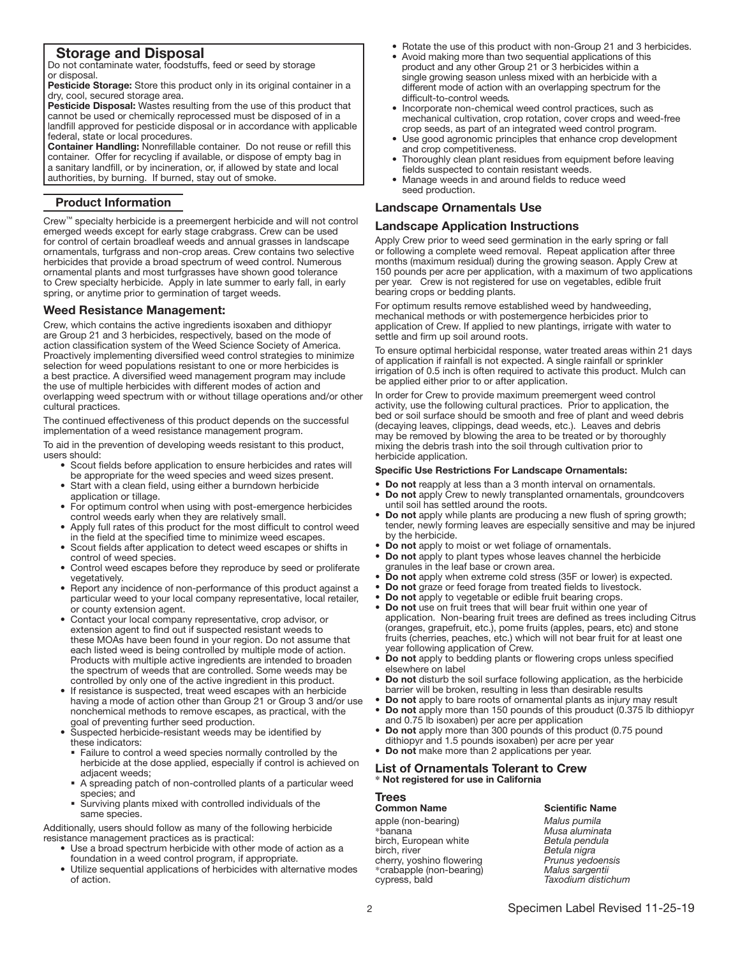### Storage and Disposal

Do not contaminate water, foodstuffs, feed or seed by storage or disposal.

Pesticide Storage: Store this product only in its original container in a dry, cool, secured storage area.

Pesticide Disposal: Wastes resulting from the use of this product that cannot be used or chemically reprocessed must be disposed of in a landfill approved for pesticide disposal or in accordance with applicable federal, state or local procedures.

Container Handling: Nonrefillable container. Do not reuse or refill this container. Offer for recycling if available, or dispose of empty bag in a sanitary landfill, or by incineration, or, if allowed by state and local authorities, by burning. If burned, stay out of smoke.

#### Product Information

Ļ

Crew™ specialty herbicide is a preemergent herbicide and will not control emerged weeds except for early stage crabgrass. Crew can be used for control of certain broadleaf weeds and annual grasses in landscape ornamentals, turfgrass and non-crop areas. Crew contains two selective herbicides that provide a broad spectrum of weed control. Numerous ornamental plants and most turfgrasses have shown good tolerance to Crew specialty herbicide. Apply in late summer to early fall, in early spring, or anytime prior to germination of target weeds.

## Weed Resistance Management:

Crew, which contains the active ingredients isoxaben and dithiopyr are Group 21 and 3 herbicides, respectively, based on the mode of action classification system of the Weed Science Society of America. Proactively implementing diversified weed control strategies to minimize selection for weed populations resistant to one or more herbicides is a best practice. A diversified weed management program may include the use of multiple herbicides with different modes of action and overlapping weed spectrum with or without tillage operations and/or other cultural practices.

The continued effectiveness of this product depends on the successful implementation of a weed resistance management program.

To aid in the prevention of developing weeds resistant to this product, users should:

- Scout fields before application to ensure herbicides and rates will be appropriate for the weed species and weed sizes present.
- Start with a clean field, using either a burndown herbicide application or tillage.
- For optimum control when using with post-emergence herbicides control weeds early when they are relatively small.
- Apply full rates of this product for the most difficult to control weed in the field at the specified time to minimize weed escapes.
- Scout fields after application to detect weed escapes or shifts in control of weed species.
- Control weed escapes before they reproduce by seed or proliferate vegetatively.
- Report any incidence of non-performance of this product against a particular weed to your local company representative, local retailer, or county extension agent.
- Contact your local company representative, crop advisor, or extension agent to find out if suspected resistant weeds to these MOAs have been found in your region. Do not assume that each listed weed is being controlled by multiple mode of action. Products with multiple active ingredients are intended to broaden the spectrum of weeds that are controlled. Some weeds may be controlled by only one of the active ingredient in this product.
- If resistance is suspected, treat weed escapes with an herbicide having a mode of action other than Group 21 or Group 3 and/or use nonchemical methods to remove escapes, as practical, with the goal of preventing further seed production.
- Suspected herbicide-resistant weeds may be identified by these indicators:
- § Failure to control a weed species normally controlled by the herbicide at the dose applied, especially if control is achieved on adjacent weeds;
- A spreading patch of non-controlled plants of a particular weed species; and
- § Surviving plants mixed with controlled individuals of the same species.

Additionally, users should follow as many of the following herbicide resistance management practices as is practical:

- Use a broad spectrum herbicide with other mode of action as a foundation in a weed control program, if appropriate.
- Utilize sequential applications of herbicides with alternative modes of action.
- Rotate the use of this product with non-Group 21 and 3 herbicides.
- Avoid making more than two sequential applications of this product and any other Group 21 or 3 herbicides within a single growing season unless mixed with an herbicide with a different mode of action with an overlapping spectrum for the difficult-to-control weeds*.*
- Incorporate non-chemical weed control practices, such as mechanical cultivation, crop rotation, cover crops and weed-free crop seeds, as part of an integrated weed control program.
- Use good agronomic principles that enhance crop development and crop competitiveness.
- Thoroughly clean plant residues from equipment before leaving fields suspected to contain resistant weeds.
- Manage weeds in and around fields to reduce weed seed production.

#### Landscape Ornamentals Use

#### Landscape Application Instructions

Apply Crew prior to weed seed germination in the early spring or fall or following a complete weed removal. Repeat application after three months (maximum residual) during the growing season. Apply Crew at 150 pounds per acre per application, with a maximum of two applications per year. Crew is not registered for use on vegetables, edible fruit bearing crops or bedding plants.

For optimum results remove established weed by handweeding, mechanical methods or with postemergence herbicides prior to application of Crew. If applied to new plantings, irrigate with water to settle and firm up soil around roots.

To ensure optimal herbicidal response, water treated areas within 21 days of application if rainfall is not expected. A single rainfall or sprinkler irrigation of 0.5 inch is often required to activate this product. Mulch can be applied either prior to or after application.

In order for Crew to provide maximum preemergent weed control activity, use the following cultural practices. Prior to application, the bed or soil surface should be smooth and free of plant and weed debris (decaying leaves, clippings, dead weeds, etc.). Leaves and debris may be removed by blowing the area to be treated or by thoroughly mixing the debris trash into the soil through cultivation prior to herbicide application.

#### Specific Use Restrictions For Landscape Ornamentals:

- Do not reapply at less than a 3 month interval on ornamentals.
- Do not apply Crew to newly transplanted ornamentals, groundcovers until soil has settled around the roots.
- Do not apply while plants are producing a new flush of spring growth; tender, newly forming leaves are especially sensitive and may be injured by the herbicide.
- Do not apply to moist or wet foliage of ornamentals.
- Do not apply to plant types whose leaves channel the herbicide granules in the leaf base or crown area.
- Do not apply when extreme cold stress (35F or lower) is expected.
- Do not graze or feed forage from treated fields to livestock.
- Do not apply to vegetable or edible fruit bearing crops.
- Do not use on fruit trees that will bear fruit within one year of application. Non-bearing fruit trees are defined as trees including Citrus (oranges, grapefruit, etc.), pome fruits (apples, pears, etc) and stone fruits (cherries, peaches, etc.) which will not bear fruit for at least one year following application of Crew.
- Do not apply to bedding plants or flowering crops unless specified elsewhere on label
- Do not disturb the soil surface following application, as the herbicide barrier will be broken, resulting in less than desirable results
- Do not apply to bare roots of ornamental plants as injury may result
- Do not apply more than 150 pounds of this prouduct (0.375 lb dithiopyr and 0.75 lb isoxaben) per acre per application
- Do not apply more than 300 pounds of this product (0.75 pound dithiopyr and 1.5 pounds isoxaben) per acre per year
- Do not make more than 2 applications per year.

#### List of Ornamentals Tolerant to Crew **\*** Not registered for use in California

## Trees

**Common Name**<br>
apple (non-bearing)<br>
Malus pumila apple (non-bearing) \*banana *Musa aluminata*  birch, European white<br>birch, river cherry, yoshino flowering *Prunus yedoensis*  \*crabapple (non-bearing) *Malus sargentii* 

Betula <sup>'</sup>nigra<br>Prunus yedoensis cypress, bald *Taxodium distichum*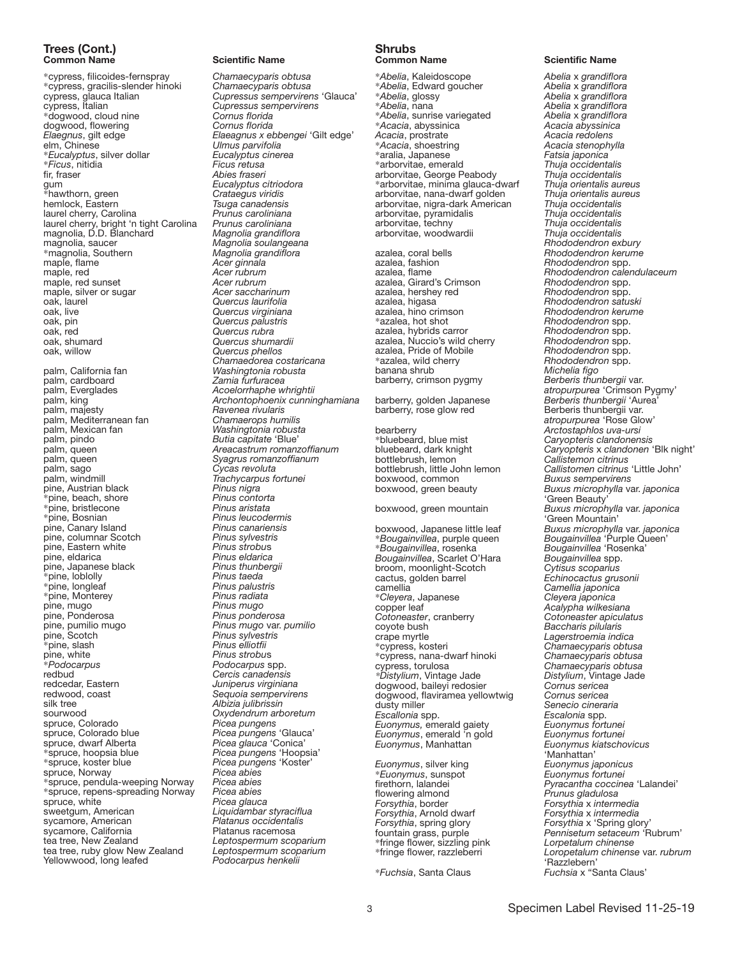## Trees (Cont.)

\*cypress, filicoides-fernspray *Chamaecyparis obtusa* \*cypress, gracilis-slender hinoki *Chamaecyparis obtusa* \*dogwood, cloud nine *Cornus florida*  dogwood, flowering *Cornus florida Elaegnus*, gilt edge *Elaeagnus x ebbengei* 'Gilt edge' \**Eucalyptus*, silver dollar *Eucalyptus cinerea* \**Ficus*, nitidia<br>fir, fraser fir, fraser *Abies fraseri*  $*$ hawthorn, green<br>hemlock, Eastern laurel cherry, Carolina *Prunus caroliniana*  laurel cherry, bright 'n tight Carolina *Prunus caroliniana*  magnolia, D.D. Blanchard *Magnolia grandiflora* magnolia, saucer *Magnolia soulangeana* maple, flame maple, red *Acer rubrum* maple, red sunset *Acer rubrum*<br>
maple, silver or sugar *Acer saccharinum* maple, silver or sugar oak, laurel oak, laurel *Quercus laurifolia* oak, pin *Quercus palustris* oak, red oak, shumard<br>oak, willow palm, California fan *Washingtonia robusta* palm, cardboard *Zamia furfuracea*  palm, king *Archontophoenix cunninghamiana* palm, Mediterranean fan<br>palm, Mexican fan palm, Mexican fan *Washingtonia robusta* palm, pindo *Butia capitate* 'Blue' palm, queen *Areacastrum romanzoffianum*  palm, sago<br>palm, windmill pine, Austrian black *Pinus nigra* \*pine, beach, shore *Pinus contorta*  $*$ pine, bristlecone \*pine, Bosnian *Pinus leucodermis* pine, Canary Island *Pinus canariensis* pine, columnar Scotch *Pinus sylvestris* pine, Eastern white *Pinus strobu*s pine, eldarica *Pinus eldarica* pine, Japanese black *Pinus thunbergine*, Indian *Pinus thunbergine*, Indian *Pinus taeda* \*pine, loblolly *Pinus taeda* \*pine, Monterey<br>pine, mugo pine, mugo *Pinus mugo* pine, pumilio mugo<br>
pine, Scotch *Pinus sylvest*<br>
\*pine. slash *Pinus elliotfii*  $*$ pine, slash<br>pine, white pine, white *Pinus strobu*s \**Podocarpus Podocarpus* spp. redbud *Cercis canadensis*  redcedar, Eastern *Juniperus virginiana* redwood, coast *Sequoia sempervirens*  silk tree *Albizia julibrissin*  spruce, Colorado<br>spruce, Colorado blue spruce, dwarf Alberta<br> *\** spruce, hoopsia blue \*spruce, hoopsia blue *Picea pungens* 'Hoopsia' spruce, Norway *Picea abies* \*spruce, pendula-weeping Norway *Picea abies* \*spruce, repens-spreading Norway *Picea abies* spruce, white<br>sweetgum, American sycamore, American *Platanus occidental*<br>sycamore, California **Platanus in Platanus in Platanus** sycamore, California<br>tea tree, New Zealand tea tree, ruby glow New Zealand *Leptospermum* scop<br>19 Yellowwood, long leafed *Podocarpus henkelii* Yellowwood, long leafed

#### **Scientific Name**

cypress, glauca Italian *Cupressus sempervirens* 'Glauca'  $Cupressus sempervirens$ elm, Chinese *Ulmus parvifolia*  Eucalyptus citriodora<br>Crataegus viridis hemlock, Eastern *Tsuga canadensis*  \*magnolia, Southern *Magnolia grandiflora* **Quercus virginiana** *Quercus rubra Quercus shumardii* **Quercus phellos** *Chamaedorea costaricana* palm, Everglades *Acoelorrhaphe whrightii*  palm, majesty *Ravenea rivularis*  Syagrus romanzoffianum<br>Cycas revoluta palm, windmill *Trachycarpus fortunei* \*pine, longleaf *Pinus palustris* pine, Ponderosa *Pinus ponderosa* pine, pumilio mugo *Pinus mugo* var. *pumilio* Oxydendrum arboretum<br>Picea pungens Picea pungens 'Glauca'<br>Picea glauca 'Conica' \*spruce, koster blue *Picea pungens* 'Koster' Liquidambar styraciflua<br>Platanus occidentalis Leptospermum scoparium<br>Leptospermum scoparium

#### Shrubs Common Name Scientific Name

\**Abelia*, Kaleidoscope *Abelia* x *grandiflora* \**Abelia*, Edward goucher *Abelia* x *grandiflora* \**Abelia*, glossy *Abelia* x *grandiflora* \**Abelia*, sunrise variegated *Abelia* x *grandiflora Acacia*, prostrate *Acacia redolens* \**Acacia*, shoestring *Acacia stenophylla* \*aralia, Japanese *Fatsia japonica* \*arborvitae, emerald *Thuja occidentalis* arborvitae, George Peabody *Thuja occidentalis* \*arborvitae, minima glauca-dwarf *Thuja orientalis aureus* arborvitae, nana-dwarf golden *Thuja orientalis aurarborvitae*, nigra-dark American *Thuja occidentalis* arborvitae, nigra-dark American *Thuja occidentalis* arborvitae, pyramidalis *Thuja occidentalis* arborvitae, techny *Thuja occidentalis* arborvitae, woodwardii *Thuja occidentalis* azalea, coral bells *Rhododendron kerume* azalea, fashion *Rhododendron* spp. azalea, Girard's Crimson *Rhododendron* spp. azalea, hershey red *Rhododendron* spp. azalea, higasa *Rhododendron satuski* \*azalea, hot shot *Rhododendron* spp. azalea, hybrids carror *Rhododendron* spp. azalea, Nuccio's wild cherry *Rhododendron* spp. azalea, Pride of Mobile<br>\*azalea, wild cherry \*azalea, wild cherry *Rhododendron* spp. barberry, crimson pygmy *Berberis thunbergii* var. barberry, golden Japanese *Berberis thunbergii* 'Aurea' bearberry *Arctostaphlos uva-ursi* \*bluebeard, blue mist *Caryopteris clandonensis* bottlebrush, lemon *Callistemon citrinus* boxwood, common boxwood, green beauty *Buxus microphylla* var. *japonica* boxwood, green mountain *Buxus microphylla* var. *japonica* boxwood, Japanese little leaf *Buxus microphylla* var. *japonica* \**Bougainvillea*, purple queen *Bougainvillea* 'Purple Queen' \**Bougainvillea*, rosenka *Bougainvillea* 'Rosenka' *Bougainvillea*, Scarlet O'Hara *Bougainvillea* spp. broom, moonlight-Scotch *Cytisus scoparius* cactus, golden barrel *Echinocactus grusonii* \**Cleyera*, Japanese *Cleyera japonica* copper leaf *Acalypha wilkesiana Cotoneaster*, cranberry *Cotoneaster apiculatus* coyote bush *Baccharis pilularis* crape myrtle *Lagerstroemia indica* \*cypress, nana-dwarf hinoki *Chamaecyparis obtusa \*Distylium*, Vintage Jade *Distylium*, Vintage Jade dogwood, baileyi redosier *Cornus sericea* dogwood, flaviramea yellowtwig<br>dusty miller dusty miller *Senecio cineraria*

\**Euonymus*, sunspot<br>firethorn, lalandei *Forsythia*, Arnold dwarf<br>*Forsythia*, spring glory

*Euonymus,* emerald gaiety *Euonymus fortunei Euonymus*, emerald 'n gold<br>*Euonymus*, Manhattan

# *Euonymus*, silver king *Euonymus japonicus*

\**Fuchsia*, Santa Claus *Fuchsia* x "Santa Claus'

\**Abelia*, nana *Abelia* x *grandiflora* \**Acacia*, abyssinica *Acacia abyssinica Rhododendron exbury* azalea, flame *Rhododendron calendulaceum* azalea, hino crimson *Rhododendron kerume* banana shrub *Michelia figo atropurpurea* 'Crimson Pygmy' Berberis thunbergii var. *atropurpurea* 'Rose Glow' bluebeard, dark knight *Caryopteris* x *clandonen* 'Blk night' Callistomen citrinus 'Little John'<br>Buxus sempervirens 'Green Beauty' 'Green Mountain' camellia *Camellia japonica* Chamaecyparis obtusa<br>Chamaecyparis obtusa *Chamaecyparis obtusa<br>Distylium, Vintage Jade Escallonia* spp. *Escalonia* spp. *Euonymus*, Manhattan *Euonymus kiatschovicus* ʻManhattan'<br>*Euonymus japonicus* firethorn, lalandei *Pyracantha coccinea* 'Lalandei'<br>flowering almond *Prunus gladulosa*<br>*Forsythia*, border *Forsythia x intermedia* Prunus gladulosa *Forsythia*, border *Forsythia* x *intermedia Forsythia*, spring glory *Forsythia* x 'Spring glory' fountain grass, purple *Pennisetum setaceum* 'Rubrum' \*fringe flower, sizzling pink *Lorpetalum chinense* \*fringe flower, razzleberri *Loropetalum chinense* var. *rubrum* 'Razzlebern'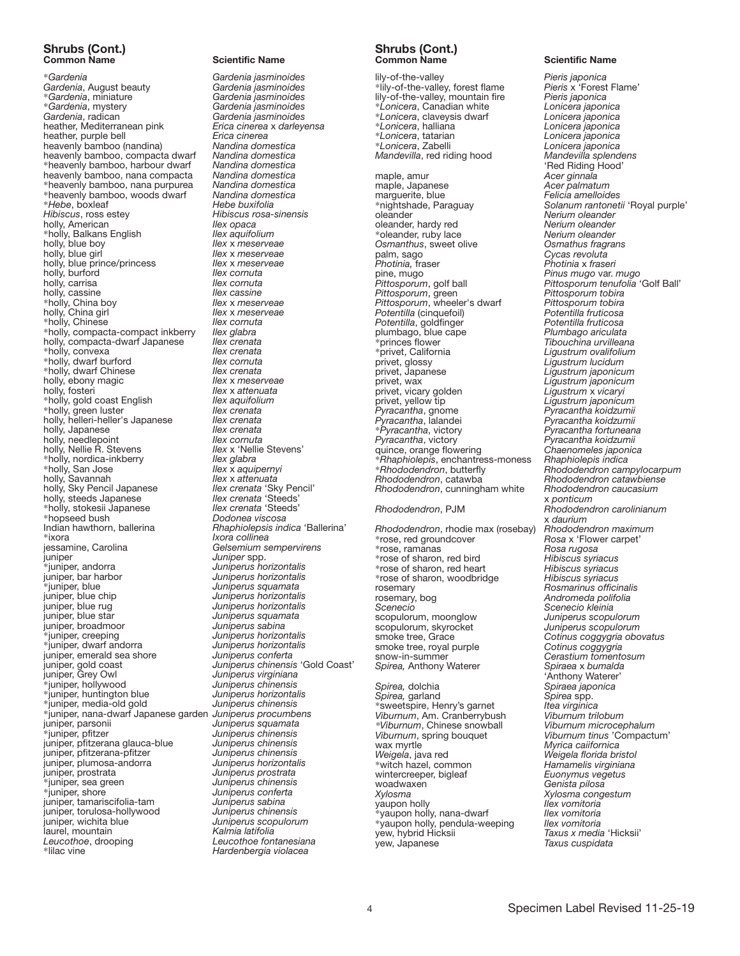# Shrubs (Cont.)<br>Common Name

\**Gardenia Gardenia jasminoides Gardenia*, August beauty<br>\*Gardenia, miniature \**Gardenia*, miniature *Gardenia jasminoides Gardenia*, radican *Gardenia jasminoides* heather, Mediterranean pink *Erica cinerea* x *darleyensa* heather, purple bell *Erica cinerea* heavenly bamboo (nandina) *Nandina domestica* heavenly bamboo, compacta dwarf *Nandina domestica* \*heavenly bamboo, harbour dwarf *Nandina domestica* heavenly bamboo, nana compacta *Nandina domestica* \*heavenly bamboo, nana purpurea *Nandina domestica* \*heavenly bamboo, woods dwarf *Nandina domestica* \**Hebe*, boxleaf *Hebe buxifolia Hibiscus*, ross estey *Hibiscus rosa-sinensis* holly, American *Ilex opaca* \*holly, Balkans English *Ilex aquifolium* holly, blue boy *Ilex* x *meserveae* holly, blue prince/princess *Ilex x meser*<br> *Ilex cornuta* holly, burford *Ilex cornuta* holly, carrisa *Ilex cornuta* holly, cassine *Ilex cassine*<br> *Ilex x meserveae* \*holly, China boy<br>*holly*, China girl \*holly, Chinese *Ilex cornuta* \*holly, compacta-compact inkberry *Ilex glabra* holly, compacta-dwarf Japanese *Ilex crenata* \*holly, convexa *Ilex crenata* \*holly, dwarf burford *Ilex cornuta* \*holly, dwarf Chinese *Ilex crenata* holly, ebony magic *Ilex* x *meserveae* holly, fosteri *Ilex x attenuata*<br>holly, gold coast English **Ilex aquifolium** \*holly, gold coast English *Ilex aquifolium* \*holly, green luster *Ilex crenata* holly, helleri-heller's Japanese *Ilex crenata* holly, Japanese *Ilex crenata* holly, needlepoint *Ilex cornuta* holly, Nellie R. Stevens *Ilex* x 'Nelli<br>holly, nordica-inkberry *Ilex glabra* \*holly, nordica-inkberry *Ilex glabra* \*holly, San Jose *Ilex* x *aquipernyi* holly, Savannah *Ilex* x *attenuata* holly, Sky Pencil Japanese *Ilex crenata* 'Sky Pencil' holly, steeds Japanese *Ilex crenata* 'Steeds' \*holly, stokesii Japanese *Ilex crenata* 'Steeds' \*hopseed bush *Dodonea viscosa* \*ixora *Ixora collinea* jessamine, Carolina *Gelsemium sempervirens* juniper *Juniper* spp. \*juniper, andorra *Juniperus horizontalis* juniper, bar harbor *Juniperus horizontalis* \*juniper, blue *Juniperus squamata* juniper, blue chip *Juniperus horizontalis* juniper, broadmoor<br>\*juniper, creeping \*juniper, dwarf andorra *Juniperus horizontalis* juniper, emerald sea shore<br>*juniper*, gold coast<br>*juniper*, Grey Owl juniper, Grey Owl *Juniperus virginiana* \*juniper, huntington blue *Juniperus horizontalis* \*juniper, media-old gold *Juniperus chinensis* <sup>\*</sup>juniper, nana-dwarf Japanese garden<br>juniper, parsonii juniper, parsonii *Juniperus squamata* juniper, pfitzerana glauca-blue *Juniperus chinensis* juniper, pfitzerana-pfitzer *Juniperus chinensis* juniper, plumosa-andorra *Juniperus horizontalis* juniper, prostrata *Juniperus prostrata* \*juniper, sea green *Juniperus chinensis* juniper, tamariscifolia-tam *Juniperus sabina* juniper, torulosa-hollywood<br>juniper, wichita blue laurel, mountain<br>*Leucothoe*, drooping *Leucothoe*, drooping *Leucothoe fontanesiana*

#### **Scientific Name**

\**Gardenia*, mystery *Gardenia jasminoides llex* x *meserveae*<br>*Ilex* x *meserveae Ilex x meserveae*<br>*Ilex cornuta* Indian hawthorn, ballerina *Rhaphiolepsis indica* 'Ballerina' juniper, blue rug *Juniperus horizontalis* Juniperus squamata<br>Juniperus sabina \*juniper, creeping *Juniperus horizontalis* juniper, gold coast *Juniperus chinensis* 'Gold Coast'  $J$ uniperus chinensis<br>Juniperus horizontalis \*juniper, pfitzer *Juniperus chinensis* Juniperus conferta<br>Juniperus sabina Juniperus scopulorum<br>Kalmia latifolia **Hardenbergia violacea** 

#### Shrubs (Cont.) Common Name Scientific Name

lily-of-the-valley<br>
\*lily-of-the-valley, forest flame Pieris x 'Forest Flame' \*lily-of-the-valley, forest flame *Pieris* x 'Forest Flame' lily-of-the-valley, mountain fire *Pieris japonica* \**Lonicera*, Canadian white *Lonicera japonica* \**Lonicera*, claveysis dwarf *Lonicera japonica* \**Lonicera*, halliana *Lonicera japonica* \**Lonicera*, tatarian *Lonicera japonica Mandevilla*, red riding hood maple, amur<br>
maple, Japanese **Acer ginnala**<br>
marguerite, blue<br>
Felicia amelloides maple, Japanese *Acer palmatum* marguerite, blue *Felicia amelloides* oleander, hardy red \*oleander, ruby lace *Nerium oleander Osmanthus*, sweet olive palm, sago palm, sago *Cycas revoluta Photinia,* fraser *Photinia* x *fraseri* pine, mugo *Pinus mugo* var. *mugo Pittosporum*, green *Pittosporum tobira Pittosporum*, wheeler's dwarf *Pittosporum tobira Potentilla* (cinquefoil) *Potentilla fruticosa Potentilla*, goldfinger *Potentilla fruticosa* plumbago, blue cape *Plumbago ariculata* \*princes flower *Tibouchina urvilleana* \*privet, California *Ligustrum ovalifolium* privet, glossy *Ligustrum lucidum* privet, Japanese *Ligustrum japonicum* privet, vicary golden<br>privet, yellow tip<br>*Pyracantha*, gnome *Pyracantha*, gnome *Pyracantha koidzumii* \**Pyracantha*, victory<br>*Pyracantha*, victory \**Rhaphiolepis*, enchantress-moness *Rhaphiolepis indica Rhododendron*, catawba *Rhododendron catawbiense Rhododendron*, cunningham white *Rhododendron*, PJM *Rhododendron carolinianum Rhododendron*, rhodie max (rosebay) *Rhododendron maximum* \*rose, red groundcover *internal community* frace x 'Flow<br>\*rose, ramanas care care care care care care care and a Rosa rugosa \*rose, ramanas *Rosa rugosa* \*rose of sharon, red bird *Hibiscus syriacus* \*rose of sharon, red heart *Hibiscus syriacus* \*rose of sharon, woodbridge *Hibiscus syriacus* rosemary *Rosmarinus officinalis*<br> *Rosmarinus officinalis*<br> *Rosmarinus officinalis*<br> *Rosmarinus officinalis Scenecio Scenecio kleinia* scopulorum, moonglow *Juniperus scopulorum*  scopulorum, skyrocket<br>smoke tree, Grace smoke tree, royal purple<br>snow-in-summer *Spirea, Anthony Waterer Spirea,* dolchia *Spiraea japonica Spirea,* garland *Spirea* spp. \*sweetspire, Henry's garnet *Itea virginica Viburnum*, Am. Cranberrybush *Viburnum trilobum \*Viburnum*, Chinese snowball<br>*Viburnum*, spring bouquet *Viburnum*, spring bouquet *Viburnum tinus* 'Compactum' wax myrtle *Myrica caiifornica* \*witch hazel, common *Hamamelis virginiana* wintercreeper, bigleaf<br>woadwaxen woadwaxen *Genista pilosa* yaupon holly *Ilex vomitoria* \*yaupon holly, nana-dwarf *Ilex vomitoria* \*yaupon holly, pendula-weeping *Ilex vomitoria* yew, hybrid Hicksii *Taxus x media* 'Hicksii'

\**Lonicera*, Zabelli *Lonicera japonica* 'Red Riding Hood' \*nightshade, Paraguay *Solanum rantonetii* 'Royal purple' oleander *Nerium oleander Pittosporum tenufolia 'Golf Ball'*<br>*Pittosporum tobira* Ligustrum japonicum<br>Ligustrum x vicaryi privet, yellow tip *Ligustrum japonicum Pyracantha*, lalandei *Pyracantha koidzumii Pyracantha*, victory *Pyracantha koidzumii* quince, orange flowering *Chaenomeles japonica* \**Rhododendron*, butterfly *Rhododendron campylocarpum* x *ponticum* x *daurium* Andromeda polifolia Cotinus coggygria obovatus<br>Cotinus coggygria snow-in-summer *Cerastium tomentosum* 'Anthony Waterer' *Weigela*, java red *Weigela florida bristol Xylosma Xylosma congestum* yew, Japanese *Taxus cuspidata*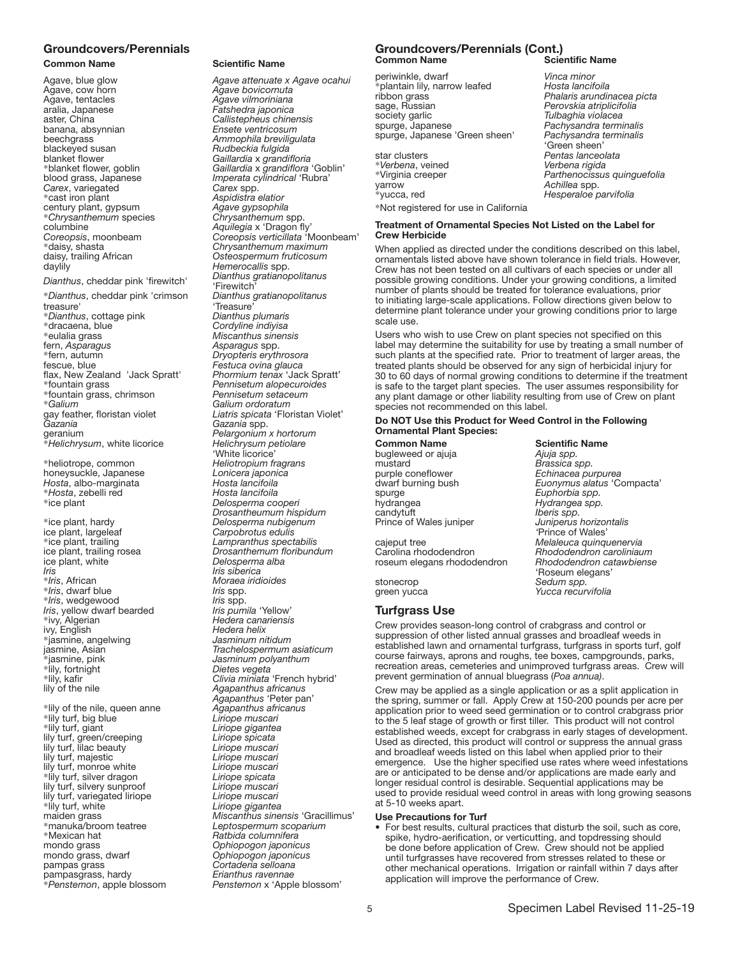# Groundcovers/Perennials<br>Common Name

Agave, cow horn<br>**Agave**, tentacles Agave, tentacles *Agave vilmoriniana* banana, absynnian<br>beechgrass beechgrass *Ammophila breviligulata* blackeyed susan *Rudbeckia fulgida* blanket flower *Gaillardia* x *grandifloria Carex*, variegated<br>\*cast iron plant century plant, gypsum *Agave gypsophila* \**Chrysanthemum* species *Chrysanthemum* spp. columbine *Aquilegia* x 'Dragon fly' \*daisy, shasta *Chrysanthemum maximum*  daisy, trailing African *Osteospermum fruticosum*

#### *Dianthus*, cheddar pink 'firewitch'

\**Dianthus*, cheddar pink 'crimson treasure' \**Dianthus*, cottage pink *Dianthus plumaris*  \*dracaena, blue *Cordyline indiyisa*  \*eulalia grass *Miscanthus sinensis* fern, *Asparagus Asparagus* spp. \*fern, autumn *Dryopteris erythrosora* fescue, blue *Festuca ovina glauca*  flax, New Zealand 'Jack Spratt' *Phormium tenax* 'Jack Spratt' \*fountain grass, chrimson *Pennisetum setaceum* Faxania *Gay* feather, floristan violet<br>Gazania *Gazania*<br>Gazania *Gazania Gazania Spp.*<br>*Gazania pelargonium x hortorum* geranium *Pelargonium x hortorum* \**Helichrysum*, white licorice *Helichrysum petiolare* 

\*heliotrope, common *Heliotropium fragrans*  honeysuckle, Japanese *Lonicera japonica Hosta*, albo-marginata *Hosta lancifoila*  \**Hosta*, zebelli red *Hosta lancifoila* 

\*ice plant, hardy *Delosperma nubigenum* ice plant, largeleaf *Carpobrotus edulis*  \*ice plant, trailing *Lampranthus spectabilis ice plant, white Iris Iris Iris siberica* \**Iris*, dwarf blue *Iris* spp. \**Iris*, wedgewood *Iris* spp. *Iris*, yellow dwarf bearded \*ivy, Algerian *Hedera canariensis*  \*jasmine, angelwing *Jasminum nitidum*  \*jasmine, pink *Jasminum polyanthum* \*lily, fortnight *Dietes vegeta* 

\*lily of the nile, queen anne *Agapanthus africanus*  \*lily turf, big blue *Liriope muscari*  lily turf, green/creeping *Liriope spicata*  lily turf, lilac beauty *Liriope muscari*  lily turf, majestic *Liriope muscari*  lily turf, monroe white *Liriope muscari*  \*lily turf, silver dragon *Liriope spicata*  lily turf, silvery sunproof *Liriope muscari*  lily turf, variegated liriope<br>\*lily turf, white \*lily turf, white *Liriope gigantea* \*manuka/broom teatree *Leptospermum scoparium* \*Mexican hat *Ratbida columnifera* mondo grass *Ophiopogon japonicus* mondo grass, dwarf *Ophiopogon japonicus* pampas grass *Cortaderia selloana*  pampasgrass, hardy *Erianthus ravennae*

#### **Scientific Name**

Agave, blue glow *Agave attenuate x Agave ocahui* aralia, Japanese *Fatshedra japonica*  Callistepheus chinensis<br>Ensete ventricosum \*blanket flower, goblin *Gaillardia* x *grandiflora* 'Goblin' Imperata cylindrical 'Rubra'<br>Carex spp. \*cast iron plant *Aspidistra elatior Coreopsis*, moonbeam *Coreopsis verticillata* 'Moonbeam' Hemerocallis spp.<br>Dianthus gratianopolitanus 'Firewitch' *Dianthus gratianopolitanus*  'Treasure'<sup>T</sup><br>Dianthus plumaris Pennisetum alopecuroides<br>Pennisetum setaceum \**Galium Galium ordoratum* Liatris spicata 'Floristan Violet'<br>Gazania spp. 'White licorice' \*ice plant *Delosperma cooperi Drosantheumum hispidum* ice plant, trailing rosea *Drosanthemum floribundum*  \**Iris*, African *Moraea iridioides* Hedera helix<br>Jasminum nitidum jasmine, Asian *Trachelospermum asiaticum* \*lily, kafir *Clivia miniata* 'French hybrid' lily of the nile *Agapanthus africanus Agapanthus* 'Peter pan' Liriope gigantea maiden grass *Miscanthus sinensis* 'Gracillimus' \**Penstemon*, apple blossom *Penstemon* x 'Apple blossom'

#### Groundcovers/Perennials (Cont.) **Common Name**

periwinkle, dwarf *Vinca minor* \*plantain lily, narrow leafed<br>ribbon grass ribbon grass *Phalaris arundinacea picta* society garlic *Tulbaghia violacea* spurge, Japanese *Pachysandra terminalis* spurge, Japanese 'Green sheen' *Pachysandra terminalis*

| star clusters                         | Pentas lanceolata           |
|---------------------------------------|-----------------------------|
| *Verbena, veined                      | Verbena rigida              |
| *Virginia creeper                     | Parthenocissus quinquefolia |
| varrow                                | Achillea spp.               |
| *vucca, red                           | Hesperaloe parvifolia       |
| *Not registered for use in California |                             |
|                                       |                             |

#### Treatment of Ornamental Species Not Listed on the Label for Crew Herbicide

When applied as directed under the conditions described on this label. ornamentals listed above have shown tolerance in field trials. However, Crew has not been tested on all cultivars of each species or under all possible growing conditions. Under your growing conditions, a limited number of plants should be treated for tolerance evaluations, prior to initiating large-scale applications. Follow directions given below to determine plant tolerance under your growing conditions prior to large scale use.

Users who wish to use Crew on plant species not specified on this label may determine the suitability for use by treating a small number of such plants at the specified rate. Prior to treatment of larger areas, the treated plants should be observed for any sign of herbicidal injury for 30 to 60 days of normal growing conditions to determine if the treatment is safe to the target plant species. The user assumes responsibility for any plant damage or other liability resulting from use of Crew on plant species not recommended on this label.

#### Do NOT Use this Product for Weed Control in the Following Ornamental Plant Species:

Common Name Scientific Name bugleweed or ajuja *Ajuja spp.* mustard *Brassica spp.*<br>
purple coneflower *Brassica spp.*<br>
dwarf burning bush *Euonymus al* spurge *Euphorbia spp.*<br>hydrangea *Hydrangea spp* hydrangea *Hydrangea spp.* **Prince of Wales juniper** cajeput tree *Melaleuca quinquenervia* roseum elegans rhododendron *Rhododendron catawbiense* 

purple coneflower *Echinacea purpurea* dwarf burning bush *Euonymus alatus* 'Compacta' *Iberis spp.<br>Juniperus horizontalis '*Prince of Wales' Carolina rhododendron *Rhododendron caroliniaum* 'Roseum elegans' stonecrop *Sedum spp.* Yucca recurvifolia

sage, Russian *Perovskia atriplicifolia*

'Green sheen'

#### Turfgrass Use

Crew provides season-long control of crabgrass and control or suppression of other listed annual grasses and broadleaf weeds in established lawn and ornamental turfgrass, turfgrass in sports turf, golf course fairways, aprons and roughs, tee boxes, campgrounds, parks, recreation areas, cemeteries and unimproved turfgrass areas. Crew will prevent germination of annual bluegrass (*Poa annua)*.

Crew may be applied as a single application or as a split application in the spring, summer or fall. Apply Crew at 150-200 pounds per acre per application prior to weed seed germination or to control crabgrass prior to the 5 leaf stage of growth or first tiller. This product will not control established weeds, except for crabgrass in early stages of development. Used as directed, this product will control or suppress the annual grass and broadleaf weeds listed on this label when applied prior to their emergence. Use the higher specified use rates where weed infestations are or anticipated to be dense and/or applications are made early and longer residual control is desirable. Sequential applications may be used to provide residual weed control in areas with long growing seasons at 5-10 weeks apart.

#### Use Precautions for Turf

• For best results, cultural practices that disturb the soil, such as core, spike, hydro-aerification, or verticutting, and topdressing should be done before application of Crew. Crew should not be applied until turfgrasses have recovered from stresses related to these or other mechanical operations. Irrigation or rainfall within 7 days after application will improve the performance of Crew.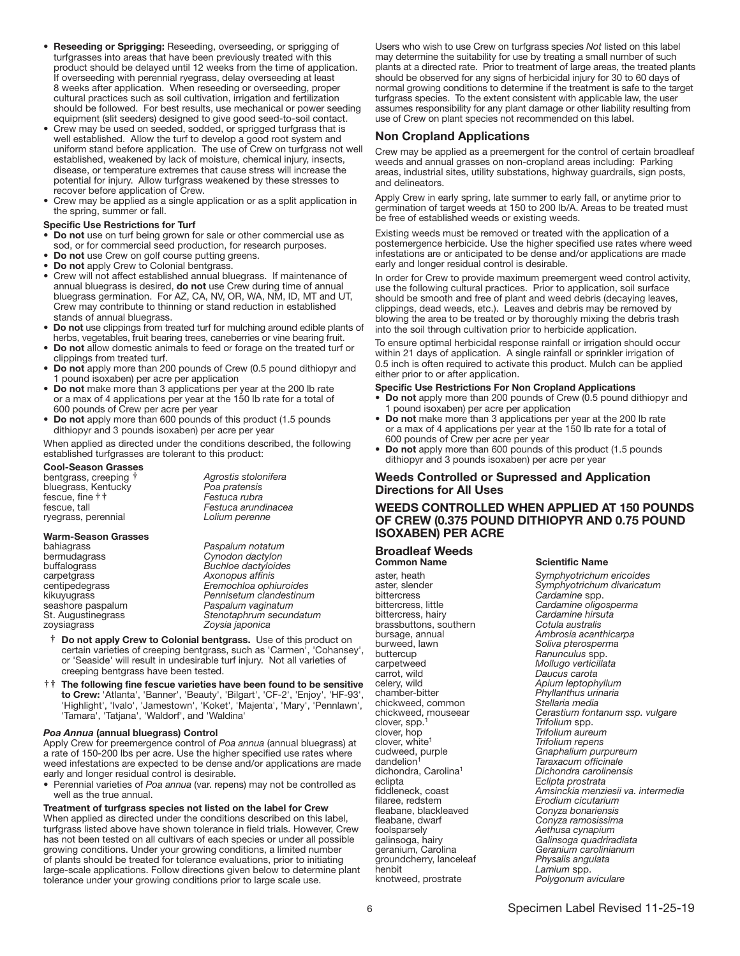- Reseeding or Sprigging: Reseeding, overseeding, or sprigging of turfgrasses into areas that have been previously treated with this product should be delayed until 12 weeks from the time of application. If overseeding with perennial ryegrass, delay overseeding at least 8 weeks after application. When reseeding or overseeding, proper cultural practices such as soil cultivation, irrigation and fertilization should be followed. For best results, use mechanical or power seeding equipment (slit seeders) designed to give good seed-to-soil contact.
- Crew may be used on seeded, sodded, or sprigged turfgrass that is well established. Allow the turf to develop a good root system and uniform stand before application. The use of Crew on turfgrass not well established, weakened by lack of moisture, chemical injury, insects, disease, or temperature extremes that cause stress will increase the potential for injury. Allow turfgrass weakened by these stresses to recover before application of Crew.
- Crew may be applied as a single application or as a split application in the spring, summer or fall.

#### Specific Use Restrictions for Turf

- Do not use on turf being grown for sale or other commercial use as sod, or for commercial seed production, for research purposes.
- Do not use Crew on golf course putting greens.
- Do not apply Crew to Colonial bentgrass.
- Crew will not affect established annual bluegrass. If maintenance of annual bluegrass is desired, do not use Crew during time of annual bluegrass germination. For AZ, CA, NV, OR, WA, NM, ID, MT and UT, Crew may contribute to thinning or stand reduction in established stands of annual bluegrass.
- Do not use clippings from treated turf for mulching around edible plants of herbs, vegetables, fruit bearing trees, caneberries or vine bearing fruit.
- Do not allow domestic animals to feed or forage on the treated turf or clippings from treated turf.
- Do not apply more than 200 pounds of Crew (0.5 pound dithiopyr and 1 pound isoxaben) per acre per application
- Do not make more than 3 applications per year at the 200 lb rate or a max of 4 applications per year at the 150 lb rate for a total of 600 pounds of Crew per acre per year
- Do not apply more than 600 pounds of this product (1.5 pounds dithiopyr and 3 pounds isoxaben) per acre per year

When applied as directed under the conditions described, the following established turfgrasses are tolerant to this product:

#### Cool-Season Grasses

bentgrass, creeping † *Agrostis stolonifera* bluegrass, Kentucky *Poa pratensis* fescue, fine  $\dagger$ <sup>†</sup><br>*fescue*, tall ryegrass, perennial *Lolium perenne*

Festuca arundinacea<br>Lolium perenne

#### Warm-Season Grasses

bahiagrass *Paspalum notatum* bermudagrass *Cynodon dactylon*

buffalograss *Buchloe dactyloides* carpetgrass *Axonopus affinis*

centipedegrass *Eremochloa ophiuroides* kikuyugrass *Pennisetum clandestinum* seashore paspalum *Paspalum vaginatum* St. Augustinegrass *Stenotaphrum secundatum* Zoysia japonica

- † Do not apply Crew to Colonial bentgrass. Use of this product on certain varieties of creeping bentgrass, such as 'Carmen', 'Cohansey', or 'Seaside' will result in undesirable turf injury. Not all varieties of creeping bentgrass have been tested.
- **††** The following fine fescue varieties have been found to be sensitive to Crew: 'Atlanta', 'Banner', 'Beauty', 'Bilgart', 'CF-2', 'Enjoy', 'HF-93', 'Highlight', 'Ivalo', 'Jamestown', 'Koket', 'Majenta', 'Mary', 'Pennlawn', 'Tamara', 'Tatjana', 'Waldorf', and 'Waldina'

#### *Poa Annua* (annual bluegrass) Control

Apply Crew for preemergence control of *Poa annua* (annual bluegrass) at a rate of 150-200 lbs per acre. Use the higher specified use rates where weed infestations are expected to be dense and/or applications are made early and longer residual control is desirable.

• Perennial varieties of *Poa annua* (var. repens) may not be controlled as well as the true annual.

Treatment of turfgrass species not listed on the label for Crew When applied as directed under the conditions described on this label, turfgrass listed above have shown tolerance in field trials. However, Crew has not been tested on all cultivars of each species or under all possible growing conditions. Under your growing conditions, a limited number of plants should be treated for tolerance evaluations, prior to initiating large-scale applications. Follow directions given below to determine plant tolerance under your growing conditions prior to large scale use.

Users who wish to use Crew on turfgrass species *Not* listed on this label may determine the suitability for use by treating a small number of such plants at a directed rate. Prior to treatment of large areas, the treated plants should be observed for any signs of herbicidal injury for 30 to 60 days of normal growing conditions to determine if the treatment is safe to the target turfgrass species. To the extent consistent with applicable law, the user assumes responsibility for any plant damage or other liability resulting from use of Crew on plant species not recommended on this label.

#### Non Cropland Applications

Crew may be applied as a preemergent for the control of certain broadleaf weeds and annual grasses on non-cropland areas including: Parking areas, industrial sites, utility substations, highway guardrails, sign posts, and delineators.

Apply Crew in early spring, late summer to early fall, or anytime prior to germination of target weeds at 150 to 200 lb/A. Areas to be treated must be free of established weeds or existing weeds.

Existing weeds must be removed or treated with the application of a postemergence herbicide. Use the higher specified use rates where weed infestations are or anticipated to be dense and/or applications are made early and longer residual control is desirable.

In order for Crew to provide maximum preemergent weed control activity, use the following cultural practices. Prior to application, soil surface should be smooth and free of plant and weed debris (decaying leaves, clippings, dead weeds, etc.). Leaves and debris may be removed by blowing the area to be treated or by thoroughly mixing the debris trash into the soil through cultivation prior to herbicide application.

To ensure optimal herbicidal response rainfall or irrigation should occur within 21 days of application. A single rainfall or sprinkler irrigation of 0.5 inch is often required to activate this product. Mulch can be applied either prior to or after application.

#### Specific Use Restrictions For Non Cropland Applications

- Do not apply more than 200 pounds of Crew (0.5 pound dithiopyr and pound isoxaben) per acre per application
- Do not make more than 3 applications per year at the 200 lb rate or a max of 4 applications per year at the 150 lb rate for a total of 600 pounds of Crew per acre per year
- Do not apply more than 600 pounds of this product (1.5 pounds dithiopyr and 3 pounds isoxaben) per acre per year

#### Weeds Controlled or Supressed and Application Directions for All Uses

#### WEEDS CONTROLLED WHEN APPLIED AT 150 POUNDS OF CREW (0.375 POUND DITHIOPYR AND 0.75 POUND ISOXABEN) PER ACRE

## **Broadleaf Weeds**<br>Common Name

**Common Name Scientific Name Scientific Name Aster heath Symphyotrichum** aster, heath *Symphyotrichum ericoides* bittercress *Cardamine* spp. bittercress, little *Cardamine oligosperma* brassbuttons, southern<br>bursage, annual bursage, annual *Ambrosia acanthicarpa* burweed, lawn *Soliva pterosperma* buttercup *Ranunculus* spp. carrot, wild *Daucus carota* celery, wild *Apium leptophyllum* chickweed, common<br>chickweed, mouseear clover, spp.1 *Trifolium* spp. clover, hop *Trifolium aureum* clover, white1 *Trifolium repens* cudweed, purple *Gnaphalium purpureum* dandelion<sup>1</sup> *Taraxacum officinale*<br>dichondra, Carolina<sup>1</sup> *Dichondra carolinens* dichondra, Carolina1 *Dichondra carolinensis* eclipta E*clipta prostrata* fleabane, blackleaved<br>fleabane, dwarf foolsparsely *Aethusa cynapium* galinsoga, hairy *Galinsoga quadriradiata* groundcherry, lanceleaf<br>henbit henbit *Lamium* spp.

aster, slender *Symphyotrichum divaricatum* Cardamine hirsuta<br>Cotula australis carpetweed *Mollugo verticillata* Phyllanthus urinaria<br>Stellaria media Cerastium fontanum ssp. vulgare fiddleneck, coast *Amsinckia menziesii va. intermedia* filaree, redstem *Erodium cicutarium* fleabane, dwarf *Conyza ramosissima* Geranium carolinianum<br>Physalis angulata Polygonum aviculare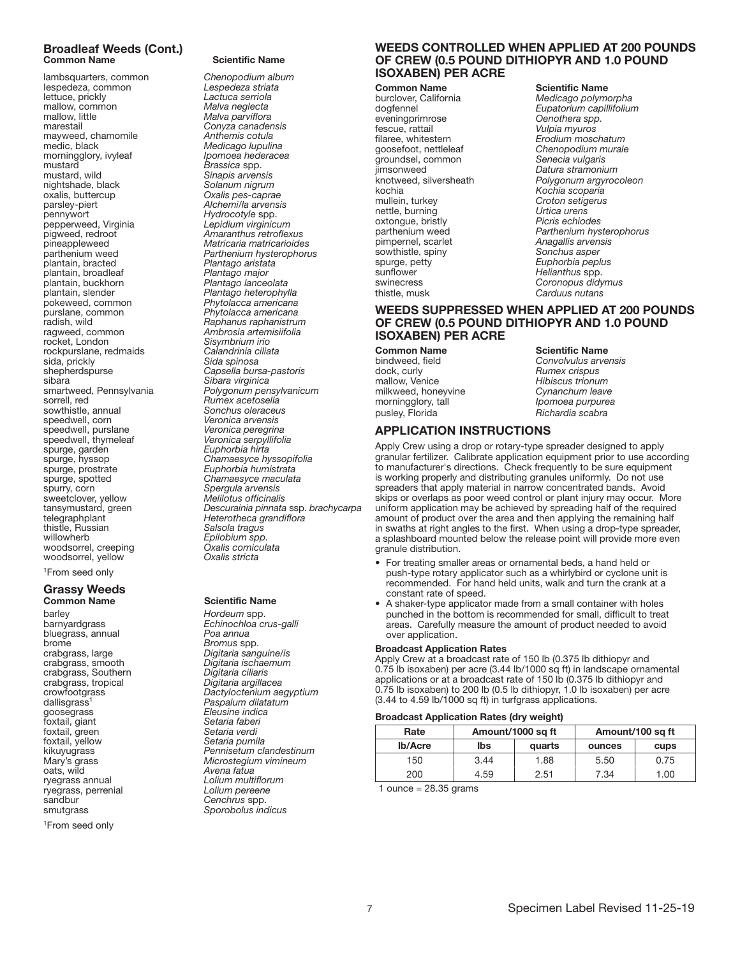# Broadleaf Weeds (Cont.)

lambsquarters, common *Chenopodium album* Iespedeza, common *Lespedeza striata* lettuce, prickly mallow, common *Malva neglecta* mallow, little *Malva parviflora* marestail *Conyza canadensis* mayweed, chamomile<br>medic, black morningglory, ivyleaf *Ipomoea hederacea* mustard *Brassica* spp.<br>
mustard, wild *Sinapis arven* nightshade, black<br>oxalis, buttercup oxalis, buttercup *Oxalis pes-caprae* pennywort *Hydrocotyle* spp. pepperweed, Virginia *Lepidium virginicum* pigweed, redroot *Amaranthus retroflexus* pineappleweed *Matricaria matricarioides* plantain, bracted *Plantago aristata* plantain, broadleaf<br>*plantain, buckhorn* plantain, broadleaf *Plantago major*<br>
plantain, buckhorn *Plantago lanceolata*<br>
plantain, slender *Plantago lanceolata* plantain, slender *Plantago heterophylla* pokeweed, common *Phytolacca americana* purslane, common *Phytolacca americana* radish, wild *Raphanus raphanistrum* ragweed, common *Ambrosia artemisiifolia* rockpurslane, redmaids<br>sida. prickly sida, prickly *Sida spinosa* sibara *Sibara virginica* sowthistle, annual<br>speedwell, corn speedwell, purslane *Veronica peregrina* speedwell, thymeleaf *Veronica serpyllifolia* spurge, garden *Euphorbia hirta* spurge, hyssop *Chamaesyce hyssopifolia* spurge, spotted<br>spurry, corn<br>spurry, corn<br>spergula arvensis<br>sweetclover. vellow<br>Melliotus officinalis sweetclover, yellow<br>tansymustard, green thistle, Russian *Salsola tragus* woodsorrel, creeping<br>
woodsorrel, yellow<br> *Oxalis stricta* woodsorrel, yellow

1From seed only

## Grassy Weeds **Common Name**<br>
barley **Common Name**<br> *Hordeum* spp.

barley *Hordeum* spp. bluegrass, annual *Poa annua* brome *Bromus* spp. crabgrass, Southern *Digitaria ciliaris* crabgrass, tropical *Digitaria argillacea* dallisgrass<sup>1</sup><br>dallisgrass<sup>1</sup> Paspalum dilata<br>goosegrass *Eleusine indica*<br>foxtail, giant Setaria faberi  $f$ oxtail, giant foxtail, green *Setaria verdi* foxtail, yellow<br>kikuyugrass oats, wild *Avena fatua* ryegrass, perrenial<br>sandbur sandbur *Cenchrus spp.* 

1From seed only

#### **Scientific Name**

Medicago lupulina<br>*Ipomoea hederacea* Sinapis arvensis<br>Solanum nigrum Alchemi/la arvensis<br>Hydrocotyle spp.<br>Lepidium virginicum Parthenium hysterophorus<br>Plantago aristata Sisymbrium irio<br>Calandrinia ciliata shepherdspurse *Capsella bursa-pastoris* smartweed, Pennsylvania *Polygonum pensylvanicum* Rumex acetosella<br>Sonchus oleraceus Veronica arvensis<br>Veronica peregrina spurge, prostrate *Euphorbia humistrata* Chamaesyce maculata<br>Spergula arvensis tansymustard, green *Descurainia pinnata* ssp. *brachycarpa* telegraphplant *Heterotheca grandiflora* Epilobium spp.<br>Oxalis corniculata

Echinochloa crus-galli crabgrass, large *Digitaria sanguine/is* Digitaria ischaemum<br>Digitaria ciliaris crowfootgrass *Dactyloctenium aegyptium* dallisgrass1 *Paspalum dilatatum* kikuyugrass *Pennisetum clandestinum* Mary's grass *Microstegium vimineum* Lolium multiflorum<br>Lolium pereene smutgrass *Sporobolus indicus*

#### WEEDS CONTROLLED WHEN APPLIED AT 200 POUNDS OF CREW (0.5 POUND DITHIOPYR AND 1.0 POUND ISOXABEN) PER ACRE

**Common Name**<br>
burclover, California<br>
Medicago polyme burclover, California *Medicago polymorpha* eveningprimrose<br>fescue, rattail fescue, rattail *Vulpia myuros* filaree, whitestern *Erodium moschatum* groundsel, common<br>iimsonweed jimsonweed *Datura stramonium* kochia *Kochia scoparia* nettle, burning *Urtica urens* oxtongue, bristly<br>parthenium weed pimpernel, scarlet *Anagallis arvensis* sowthistle, spiny<br>spurge, petty spurge, petty *Euphorbia peplus* swinecress *Coronopus didymus*

Eupatorium capillifolium<br>Oenothera spp. Chenopodium murale<br>Senecia *vulgaris* knotweed, silversheath *Polygonum argyrocoleon* Croton setigerus<br>Urtica urens Parthenium hysterophorus<br>Anagallis arvensis  $H$ *elianthus* spp. Carduus nutans

## WEEDS SUPPRESSED WHEN APPLIED AT 200 POUNDS OF CREW (0.5 POUND DITHIOPYR AND 1.0 POUND ISOXABEN) PER ACRE

**Common Name**<br>
bindweed, field **Scientific Name**<br>
Convolvulus arve mallow, Venice *Hibiscus trionum*<br>milkweed, honeyvine *Cynanchum leave* milkweed, honeyvine<br>morningglory, tall

bindweed, field *Convolvulus arvensis* **Rumex crispus** morningglory, tall *Ipomoea purpurea* pusley, Florida *Richardia scabra*

#### APPLICATION INSTRUCTIONS

Apply Crew using a drop or rotary-type spreader designed to apply granular fertilizer. Calibrate application equipment prior to use according to manufacturer's directions. Check frequently to be sure equipment is working properly and distributing granules uniformly. Do not use spreaders that apply material in narrow concentrated bands. Avoid skips or overlaps as poor weed control or plant injury may occur. More uniform application may be achieved by spreading half of the required amount of product over the area and then applying the remaining half in swaths at right angles to the first. When using a drop-type spreader, a splashboard mounted below the release point will provide more even granule distribution.

- For treating smaller areas or ornamental beds, a hand held or push-type rotary applicator such as a whirlybird or cyclone unit is recommended. For hand held units, walk and turn the crank at a constant rate of speed.
- A shaker-type applicator made from a small container with holes punched in the bottom is recommended for small, difficult to treat areas. Carefully measure the amount of product needed to avoid over application.

#### Broadcast Application Rates

Apply Crew at a broadcast rate of 150 lb (0.375 lb dithiopyr and 0.75 lb isoxaben) per acre (3.44 lb/1000 sq ft) in landscape ornamental applications or at a broadcast rate of 150 lb (0.375 lb dithiopyr and 0.75 lb isoxaben) to 200 lb (0.5 lb dithiopyr, 1.0 lb isoxaben) per acre (3.44 to 4.59 lb/1000 sq ft) in turfgrass applications.

#### Broadcast Application Rates (dry weight)

| Rate           | Amount/1000 sq ft |        | Amount/100 sq ft |      |
|----------------|-------------------|--------|------------------|------|
| <b>Ib/Acre</b> | lbs               | quarts | ounces           | cups |
| 150            | 3.44              | 1.88   | 5.50             | 0.75 |
| 200            | 4.59              | 2.51   | 7.34             | 1.00 |

1 ounce  $= 28.35$  grams